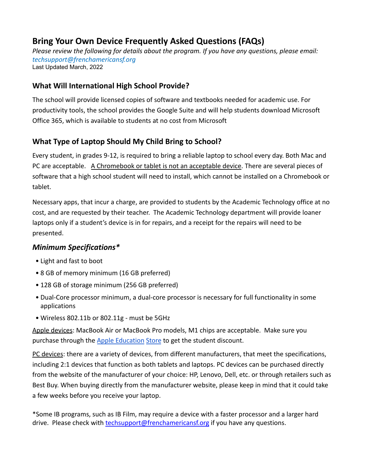# **Bring Your Own Device Frequently Asked Questions (FAQs)**

*Please review the following for details about the program. If you have any questions, please email: [techsupport@frenchamericansf.org](mailto:techsupport@frenchamericansf.org)* Last Updated March, 2022

### **What Will International High School Provide?**

The school will provide licensed copies of software and textbooks needed for academic use. For productivity tools, the school provides the Google Suite and will help students download Microsoft Office 365, which is available to students at no cost from Microsoft

## **What Type of Laptop Should My Child Bring to School?**

Every student, in grades 9-12, is required to bring a reliable laptop to school every day. Both Mac and PC are acceptable. A Chromebook or tablet is not an acceptable device. There are several pieces of software that a high school student will need to install, which cannot be installed on a Chromebook or tablet.

Necessary apps, that incur a charge, are provided to students by the Academic Technology office at no cost, and are requested by their teacher. The Academic Technology department will provide loaner laptops only if a student's device is in for repairs, and a receipt for the repairs will need to be presented.

### *Minimum Specifications\**

- Light and fast to boot
- 8 GB of memory minimum (16 GB preferred)
- 128 GB of storage minimum (256 GB preferred)
- Dual-Core processor minimum, a dual-core processor is necessary for full functionality in some applications
- Wireless 802.11b or 802.11g must be 5GHz

Apple devices: MacBook Air or MacBook Pro models, M1 chips are acceptable. Make sure you purchase through the [Apple Education](http://www.apple.com/us-k12/shop/buy-mac/macbook-air) [Store](http://www.apple.com/us-k12/shop/buy-mac/macbook-air) to get the student discount.

PC devices: there are a variety of devices, from different manufacturers, that meet the specifications, including 2:1 devices that function as both tablets and laptops. PC devices can be purchased directly from the website of the manufacturer of your choice: HP, Lenovo, Dell, etc. or through retailers such as Best Buy. When buying directly from the manufacturer website, please keep in mind that it could take a few weeks before you receive your laptop.

\*Some IB programs, such as IB Film, may require a device with a faster processor and a larger hard drive. Please check with [techsupport@frenchamericansf.org](mailto:techsupport@frenchamericansf.org) if you have any questions.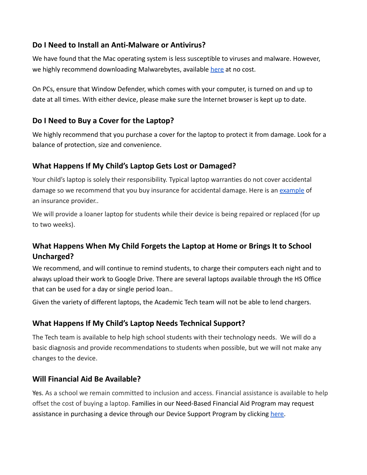#### **Do I Need to Install an Anti-Malware or Antivirus?**

We have found that the Mac operating system is less susceptible to viruses and malware. However, we highly recommend downloading Malwarebytes, available [here](https://www.malwarebytes.com/mac/) at no cost.

On PCs, ensure that Window Defender, which comes with your computer, is turned on and up to date at all times. With either device, please make sure the Internet browser is kept up to date.

### **Do I Need to Buy a Cover for the Laptop?**

We highly recommend that you purchase a cover for the laptop to protect it from damage. Look for a balance of protection, size and convenience.

### **What Happens If My Child's Laptop Gets Lost or Damaged?**

Your child's laptop is solely their responsibility. Typical laptop warranties do not cover accidental damage so we recommend that you buy insurance for accidental damage. Here is an [example](https://www.worthavegroup.com/) of an insurance provider..

We will provide a loaner laptop for students while their device is being repaired or replaced (for up to two weeks).

## **What Happens When My Child Forgets the Laptop at Home or Brings It to School Uncharged?**

We recommend, and will continue to remind students, to charge their computers each night and to always upload their work to Google Drive. There are several laptops available through the HS Office that can be used for a day or single period loan..

Given the variety of different laptops, the Academic Tech team will not be able to lend chargers.

### **What Happens If My Child's Laptop Needs Technical Support?**

The Tech team is available to help high school students with their technology needs. We will do a basic diagnosis and provide recommendations to students when possible, but we will not make any changes to the device.

### **Will Financial Aid Be Available?**

Yes. As a school we remain committed to inclusion and access. Financial assistance is available to help offset the cost of buying a laptop. Families in our Need-Based Financial Aid Program may request assistance in purchasing a device through our Device Support Program by clicking [here.](https://docs.google.com/document/d/1maNGyv8xKQqlnBQcQ8d00gmpbSJEfyDOt58yS9uZafs/edit)